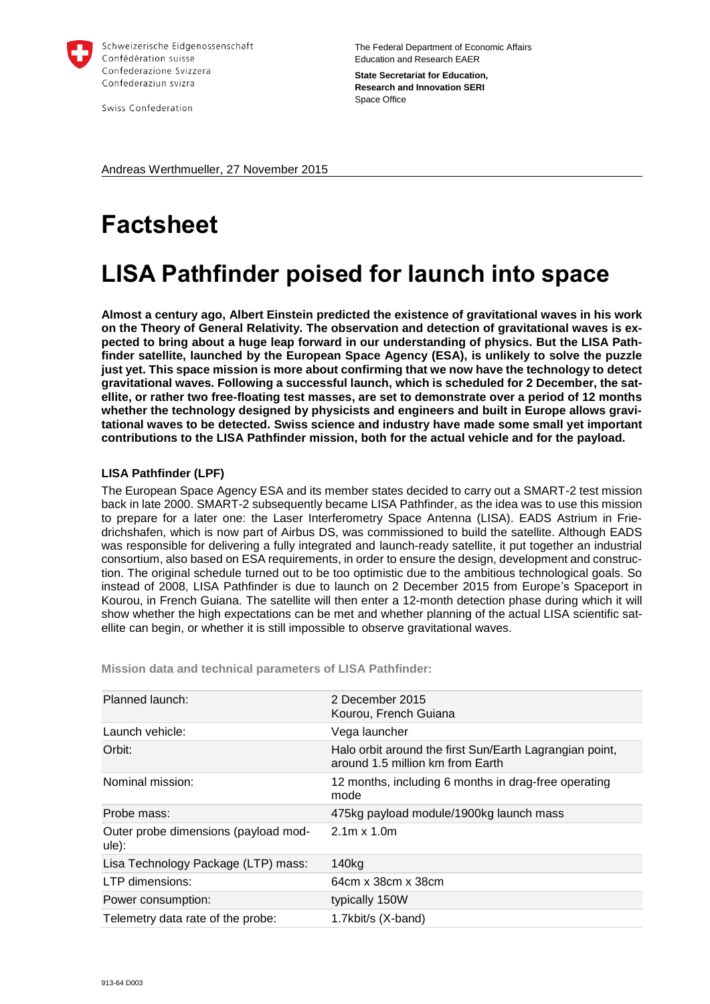

Swiss Confederation

The Federal Department of Economic Affairs Education and Research EAER **State Secretariat for Education, Research and Innovation SERI** Space Office

Andreas Werthmueller, 27 November 2015

# **Factsheet**

## **LISA Pathfinder poised for launch into space**

**Almost a century ago, Albert Einstein predicted the existence of gravitational waves in his work on the Theory of General Relativity. The observation and detection of gravitational waves is expected to bring about a huge leap forward in our understanding of physics. But the LISA Pathfinder satellite, launched by the European Space Agency (ESA), is unlikely to solve the puzzle just yet. This space mission is more about confirming that we now have the technology to detect gravitational waves. Following a successful launch, which is scheduled for 2 December, the satellite, or rather two free-floating test masses, are set to demonstrate over a period of 12 months whether the technology designed by physicists and engineers and built in Europe allows gravitational waves to be detected. Swiss science and industry have made some small yet important contributions to the LISA Pathfinder mission, both for the actual vehicle and for the payload.** 

### **LISA Pathfinder (LPF)**

The European Space Agency ESA and its member states decided to carry out a SMART-2 test mission back in late 2000. SMART-2 subsequently became LISA Pathfinder, as the idea was to use this mission to prepare for a later one: the Laser Interferometry Space Antenna (LISA). EADS Astrium in Friedrichshafen, which is now part of Airbus DS, was commissioned to build the satellite. Although EADS was responsible for delivering a fully integrated and launch-ready satellite, it put together an industrial consortium, also based on ESA requirements, in order to ensure the design, development and construction. The original schedule turned out to be too optimistic due to the ambitious technological goals. So instead of 2008, LISA Pathfinder is due to launch on 2 December 2015 from Europe's Spaceport in Kourou, in French Guiana. The satellite will then enter a 12-month detection phase during which it will show whether the high expectations can be met and whether planning of the actual LISA scientific satellite can begin, or whether it is still impossible to observe gravitational waves.

Planned launch: 2 December 2015 Kourou, French Guiana Launch vehicle: Vega launcher Orbit: Halo orbit around the first Sun/Earth Lagrangian point, around 1.5 million km from Earth Nominal mission: 12 months, including 6 months in drag-free operating mode Probe mass: 475kg payload module/1900kg launch mass Outer probe dimensions (payload module): 2.1m x 1.0m Lisa Technology Package (LTP) mass: 140kg LTP dimensions: 64cm x 38cm x 38cm Power consumption: typically 150W Telemetry data rate of the probe: 1.7kbit/s (X-band)

**Mission data and technical parameters of LISA Pathfinder:**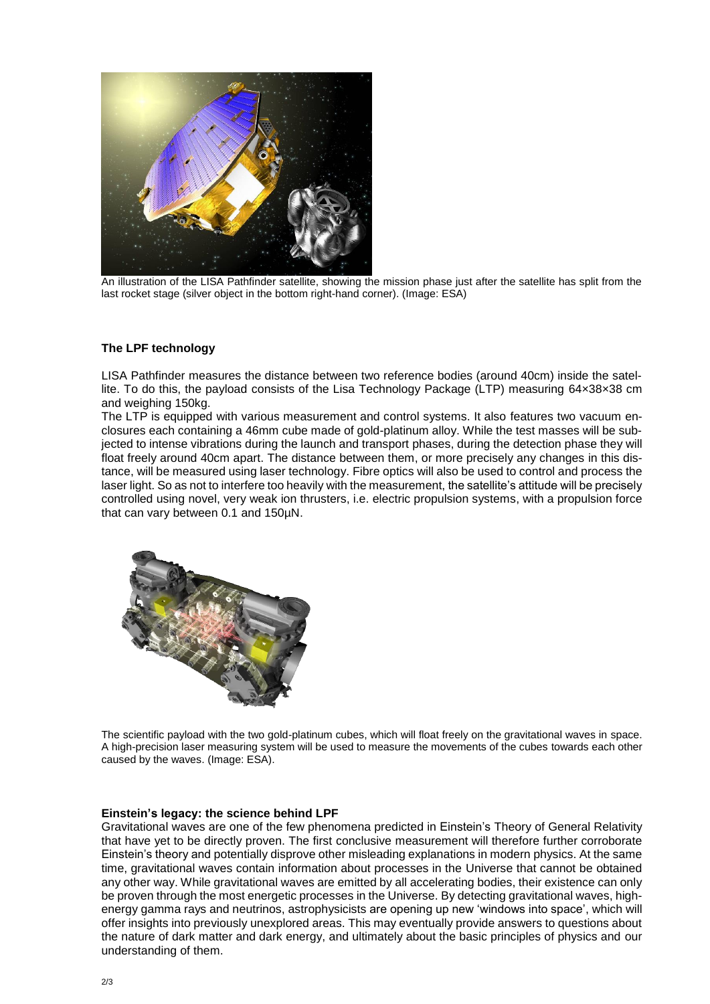

An illustration of the LISA Pathfinder satellite, showing the mission phase just after the satellite has split from the last rocket stage (silver object in the bottom right-hand corner). (Image: ESA)

#### **The LPF technology**

LISA Pathfinder measures the distance between two reference bodies (around 40cm) inside the satellite. To do this, the payload consists of the Lisa Technology Package (LTP) measuring 64×38×38 cm and weighing 150kg.

The LTP is equipped with various measurement and control systems. It also features two vacuum enclosures each containing a 46mm cube made of gold-platinum alloy. While the test masses will be subjected to intense vibrations during the launch and transport phases, during the detection phase they will float freely around 40cm apart. The distance between them, or more precisely any changes in this distance, will be measured using laser technology. Fibre optics will also be used to control and process the laser light. So as not to interfere too heavily with the measurement, the satellite's attitude will be precisely controlled using novel, very weak ion thrusters, i.e. electric propulsion systems, with a propulsion force that can vary between 0.1 and 150µN.



The scientific payload with the two gold-platinum cubes, which will float freely on the gravitational waves in space. A high-precision laser measuring system will be used to measure the movements of the cubes towards each other caused by the waves. (Image: ESA).

#### **Einstein's legacy: the science behind LPF**

Gravitational waves are one of the few phenomena predicted in Einstein's Theory of General Relativity that have yet to be directly proven. The first conclusive measurement will therefore further corroborate Einstein's theory and potentially disprove other misleading explanations in modern physics. At the same time, gravitational waves contain information about processes in the Universe that cannot be obtained any other way. While gravitational waves are emitted by all accelerating bodies, their existence can only be proven through the most energetic processes in the Universe. By detecting gravitational waves, highenergy gamma rays and neutrinos, astrophysicists are opening up new 'windows into space', which will offer insights into previously unexplored areas. This may eventually provide answers to questions about the nature of dark matter and dark energy, and ultimately about the basic principles of physics and our understanding of them.